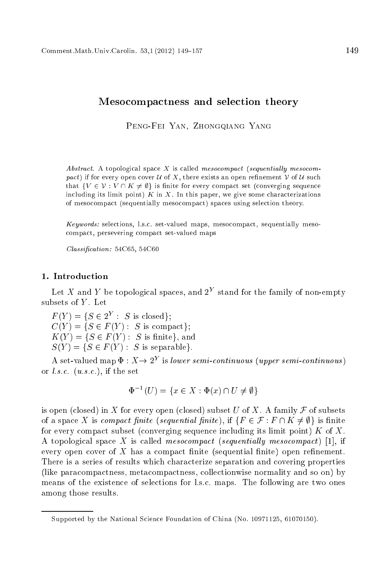# Mesocompactness and selection theory

Peng-Fei Yan, Zhongqiang Yang

Abstract. A topological space X is called mesocompact (sequentially mesocompact) if for every open cover  $U$  of X, there exists an open refinement  $V$  of  $U$  such that  $\{V \in \mathcal{V} : V \cap K \neq \emptyset\}$  is finite for every compact set (converging sequence including its limit point)  $K$  in  $X$ . In this paper, we give some characterizations of meso
ompa
t (sequentially meso
ompa
t) spa
es using sele
tion theory.

Keywords: sele
tions, l.s.
. set-valued maps, meso
ompa
t, sequentially meso ompa
t, persevering ompa
t set-valued maps

 $Classification: 54C65, 54C60$ 

## 1. Introduction

Let X and Y be topological spaces, and  $2<sup>Y</sup>$  stand for the family of non-empty subsets of  $Y$ . Let

 $F(Y) = \{S \in 2^Y : S \text{ is closed}\}.$  $C(Y) = \{S \in F(Y) : S \text{ is compact}\};$  $K(Y) = \{S \in F(Y): S \text{ is finite}\},\$ and  $S(Y) = \{S \in F(Y) : S \text{ is separable}\}.$ 

A set-valued map  $\Phi: X \to 2^Y$  is lower semi-continuous (upper semi-continuous) or  $l.s.c.$   $(u.s.c.)$ , if the set

$$
\Phi^{-1}(U) = \{ x \in X : \Phi(x) \cap U \neq \emptyset \}
$$

is open (closed) in X for every open (closed) subset U of X. A family  $\mathcal F$  of subsets of a space X is compact finite (sequential finite), if  $\{F \in \mathcal{F} : F \cap K \neq \emptyset\}$  is finite for every compact subset (converging sequence including its limit point)  $K$  of  $X$ . A topological space X is called mesocompact (sequentially mesocompact) [1], if every open cover of  $X$  has a compact finite (sequential finite) open refinement. There is a series of results whi
h hara
terize separation and overing properties (like para
ompa
tness, meta
ompa
tness, olle
tionwise normality and so on) by means of the existen
e of sele
tions for l.s.
. maps. The following are two ones among those results.

Supported by the National Science Foundation of China (No. 10971125, 61070150).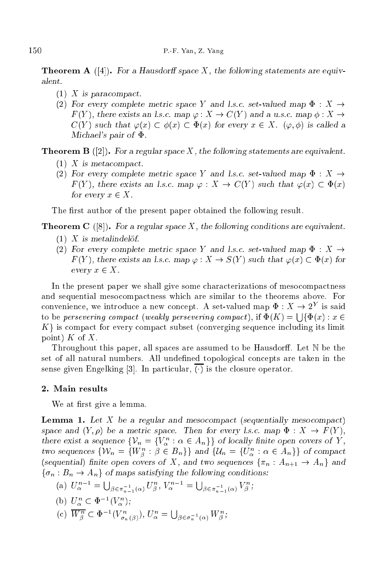**Theorem A** ([4]). For a Hausdorff space X, the following statements are equivalent.

- $(1)$  X is paracompact.
- (2) For every complete metric space Y and l.s.c. set-valued map  $\Phi : X \rightarrow$  $F(Y)$ , there exists an l.s.c. map  $\varphi : X \to C(Y)$  and a u.s.c. map  $\phi : X \to C(Y)$  $C(Y)$  such that  $\varphi(x) \subset \phi(x) \subset \Phi(x)$  for every  $x \in X$ .  $(\varphi, \phi)$  is called a Michael's pair of  $\Phi$ .

**Theorem B** ([2]). For a regular space X, the following statements are equivalent.

- $(1)$  X is metacompact.
- (2) For every complete metric space Y and l.s.c. set-valued map  $\Phi : X \rightarrow$  $F(Y)$ , there exists an l.s.c. map  $\varphi : X \to C(Y)$  such that  $\varphi(x) \subset \Phi(x)$ for every  $x \in X$ .

The first author of the present paper obtained the following result.

**Theorem C** ([8]). For a regular space X, the following conditions are equivalent.

- $(1)$  X is metalindelöf.
- (2) For every complete metric space Y and l.s.c. set-valued map  $\Phi : X \rightarrow$  $F(Y)$ , there exists an l.s.c. map  $\varphi: X \to S(Y)$  such that  $\varphi(x) \subset \Phi(x)$  for every  $x \in X$ .

In the present paper we shall give some characterizations of mesocompactness and sequential mesocompactness which are similar to the theorems above. For convenience, we introduce a new concept. A set-valued map  $\Phi: X \to 2^Y$  is said to be persevering compact (weakly persevering compact), if  $\Phi(K) = \Box \{\Phi(x) : x \in$  $K$  is compact for every compact subset (converging sequence including its limit point)  $K$  of  $X$ .

Throughout this paper, all spaces are assumed to be Hausdorff. Let  $N$  be the set of all natural numbers. All undefined topological concepts are taken in the sense given Engelking [3]. In particular,  $\overline{(\cdot)}$  is the closure operator.

We at first give a lemma.

**Lemma 1.** Let  $X$  be a regular and mesocompact (sequentially mesocompact) space and  $(Y, \rho)$  be a metric space. Then for every l.s.c. map  $\Phi : X \to F(Y)$ , there exist a sequence  $\{V_n = \{V_n^n : \alpha \in A_n\}\}\$  of locally finite open covers of Y, two sequences  $\{\mathcal{W}_n = \{W_\beta^n : \beta \in B_n\}\}$  and  $\{\mathcal{U}_n = \{U_\alpha^n : \alpha \in A_n\}\}\$  of compact (sequential) finite open covers of X, and two sequences  $\{\pi_n : A_{n+1} \to A_n\}$  and  $\{\sigma_n : B_n \to A_n\}$  of maps satisfying the following conditions:

- (a)  $U_{\alpha}^{n-1} = \bigcup_{\beta \in \pi_{n-1}^{-1}(\alpha)} U_{\beta}^n$ ,  $V_{\alpha}^{n-1} = \bigcup_{\beta \in \pi_{n-1}^{-1}(\alpha)} V_{\beta}^n$ ;
- (b)  $U_{\alpha}^n \subset \Phi^{-1}(V_{\alpha}^n);$
- (c)  $W_{\beta}^n \subset \Phi^{-1}(V_{\sigma_n(\beta)}^n), U_{\alpha}^n = \bigcup_{\beta \in \sigma_n^{-1}(\alpha)} W_{\beta}^n,$  $\cdots$   $\cdots$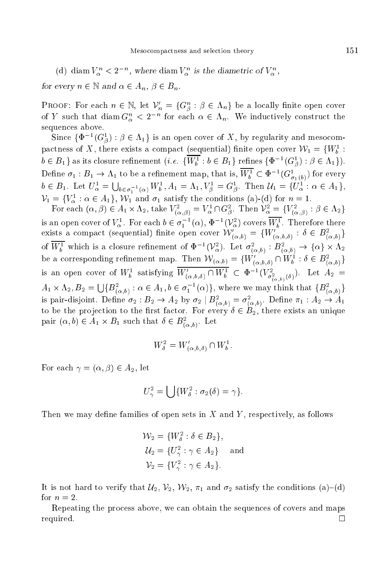(d) diam  $V_{\alpha}^{n} < 2^{-n}$ , where diam  $V_{\alpha}^{n}$  is the diametric of  $V_{\alpha}^{n}$ , for every  $n \in \mathbb{N}$  and  $\alpha \in A_n$ ,  $\beta \in B_n$ .

**PROOF:** For each  $n \in \mathbb{N}$ , let  $\mathcal{V}'_n = \{G^n_\beta : \beta \in \Lambda_n\}$  be a locally finite open cover of Y such that diam  $G_{\alpha}^{n} < 2^{-n}$  for each  $\alpha \in \Lambda_{n}$ . We inductively construct the sequences above.

Since  $\{\Phi^{-1}(G^1_\beta): \beta \in \Lambda_1\}$  is an open cover of X, by regularity and mesocompactness of X, there exists a compact (sequential) finite open cover  $W_1 = \{W_b^1\}$  $b \in B_1$  as its closure refinement (*i.e.*  $\{\overline{W_h^1} : b \in B_1\}$  refines  $\{\Phi^{-1}(G_A^1) : \beta \in \Lambda_1\}$ ). Define  $\sigma_1: B_1 \to \Lambda_1$  to be a refinement map, that is,  $\overline{W_b^1} \subset \Phi^{-1}(G_{\sigma_1(b)}^1)$  for every  $b \in B_1$ . Let  $U^1_{\alpha} = \bigcup_{b \in \sigma_1^{-1}(\alpha)} W_b^1$ ,  $A_1 = \Lambda_1$ ,  $V_{\beta}^1 = G_{\beta}^1$ . Then  $\mathcal{U}_1 = \{U_{\alpha}^{(1)} : \alpha \in A_1\}$ ,  $V_1 = \{V_\alpha^1 : \alpha \in A_1\}, W_1$  and  $\sigma_1$  satisfy the conditions (a)-(d) for  $n = 1$ .

For each  $(\alpha, \beta) \in A_1 \times \Lambda_2$ , take  $V_{(\alpha, \beta)}^2 = V_{\alpha}^1 \cap G_{\beta}^2$ . Then  $V_{\alpha}^2 = \{V_{(\alpha, \beta)}^2 : \beta \in \Lambda_2\}$ is an open cover of  $V_\alpha^1$ . For each  $b \in \sigma_1^{-1}(\alpha)$ ,  $\Phi^{-1}(\mathcal{V}_\alpha^2)$  covers  $\overline{W_b^1}$ . Therefore there exists a compact (sequential) finite open cover  $\mathcal{W}'_{(\alpha,b)} = \{W'_{(\alpha,b,\delta)} : \delta \in B^2_{(\alpha,b)}\}\$ of  $\overline{W_b^1}$  which is a closure refinement of  $\Phi^{-1}(\mathcal{V}_\alpha^2)$ . Let  $\sigma^2_{(\alpha,b)} : B^2_{(\alpha,b)} \to {\alpha} \times \Lambda_2$ be a corresponding refinement map. Then  $W_{(\alpha,b)} = \{W_{(\alpha,b,\delta)}^{\gamma} \cap W_b^1 : \delta \in B_{(\alpha,b)}^2\}$ <br>is an open cover of  $W_b^1$  satisfying  $\overline{W'_{(\alpha,b,\delta)} \cap W_b^1} \subset \Phi^{-1}(V_{\sigma_{(\alpha,b)}^2(\delta)}^2)$ . Let  $A_2 =$  $A_1 \times \Lambda_2, B_2 = \bigcup \{ B^2_{(\alpha, b)} : \alpha \in A_1, b \in \sigma_1^{-1}(\alpha) \},\$  where we may think that  $\{ B^2_{(\alpha, b)} \}$ is pair-disjoint. Define  $\sigma_2: B_2 \to A_2$  by  $\sigma_2 \mid B^2_{(\alpha,b)} = \sigma^2_{(\alpha,b)}$ . Define  $\pi_1: A_2 \to A_1$ to be the projection to the first factor. For every  $\delta \in B_2$ , there exists an unique pair  $(\alpha, b) \in A_1 \times B_1$  such that  $\delta \in B^2_{(\alpha, b)}$ . Let

$$
W_{\delta}^2 = W'_{(\alpha, b, \delta)} \cap W_b^1
$$

For each  $\gamma = (\alpha, \beta) \in A_2$ , let

$$
U_{\gamma}^2 = \bigcup \{W_{\delta}^2 : \sigma_2(\delta) = \gamma\}.
$$

Then we may define families of open sets in X and Y, respectively, as follows

$$
\mathcal{W}_2 = \{W_\delta^2 : \delta \in B_2\},\
$$
  
\n
$$
\mathcal{U}_2 = \{U_\gamma^2 : \gamma \in A_2\}
$$
 and  
\n
$$
\mathcal{V}_2 = \{V_\gamma^2 : \gamma \in A_2\}.
$$

It is not hard to verify that  $\mathcal{U}_2$ ,  $\mathcal{V}_2$ ,  $\mathcal{W}_2$ ,  $\pi_1$  and  $\sigma_2$  satisfy the conditions (a)-(d) for  $n=2$ .

Repeating the process above, we can obtain the sequences of covers and maps required.  $\Box$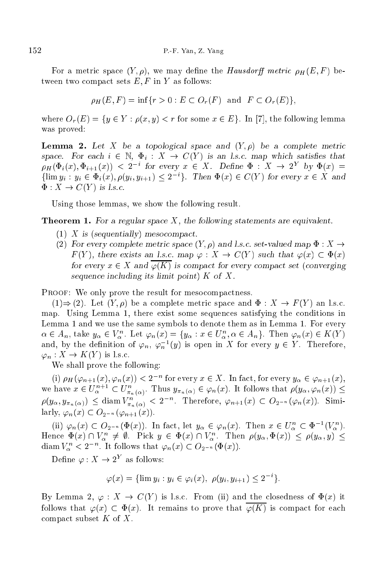For a metric space  $(Y, \rho)$ , we may define the *Hausdorff metric*  $\rho_H(E, F)$  between two compact sets  $E, F$  in Y as follows:

$$
\rho_H(E, F) = \inf \{ r > 0 : E \subset O_r(F) \text{ and } F \subset O_r(E) \},
$$

where  $O_r(E) = \{y \in Y : \rho(x, y) < r \text{ for some } x \in E\}$ . In [7], the following lemma was proved:

**Lemma 2.** Let X be a topological space and  $(Y, \rho)$  be a complete metric space. For each  $i \in \mathbb{N}$ ,  $\Phi_i : X \to C(Y)$  is an l.s.c. map which satisfies that  $\rho_H(\Phi_i(x), \Phi_{i+1}(x)) < 2^{-i}$  for every  $x \in X$ . Define  $\Phi : X \to 2^Y$  by  $\Phi(x) =$  $\{\lim y_i : y_i \in \Phi_i(x), \rho(y_i, y_{i+1}) \leq 2^{-i}\}.$  Then  $\Phi(x) \in C(Y)$  for every  $x \in X$  and  $\Phi: X \to C(Y)$  is l.s.c.

Using those lemmas, we show the following result.

**Theorem 1.** For a regular space  $X$ , the following statements are equivalent.

- (1) X is (sequentially) mesocompact.
- (2) For every complete metric space  $(Y, \rho)$  and l.s.c. set-valued map  $\Phi : X \to Y$  $F(Y)$ , there exists an l.s.c. map  $\varphi : X \to C(Y)$  such that  $\varphi(x) \subset \Phi(x)$ for every  $x \in X$  and  $\varphi(K)$  is compact for every compact set (converging sequence including its limit point)  $K$  of  $X$ .

PROOF: We only prove the result for mesocompactness.

 $(1) \Rightarrow (2)$ . Let  $(Y, \rho)$  be a complete metric space and  $\Phi : X \to F(Y)$  an l.s.c. map. Using Lemma 1, there exist some sequen
es satisfying the onditions in Lemma 1 and we use the same symbols to denote them as in Lemma 1. For every  $\alpha \in A_n$ , take  $y_\alpha \in V_\alpha^n$ . Let  $\varphi_n(x) = \{y_\alpha : x \in U_\alpha^n, \alpha \in A_n\}$ . Then  $\varphi_n(x) \in K(Y)$ and, by the definition of  $\varphi_n$ ,  $\varphi_n^{-1}(y)$  is open in X for every  $y \in Y$ . Therefore,  $\varphi_n: X \to K(Y)$  is l.s.c.

We shall prove the following:

(i)  $\rho_H(\varphi_{n+1}(x), \varphi_n(x)) < 2^{-n}$  for every  $x \in X$ . In fact, for every  $y_\alpha \in \varphi_{n+1}(x)$ , we have  $x \in U^{n+1}_{\alpha} \subset U^{n}_{\pi_n(\alpha)}$ . Thus  $y_{\pi_n(\alpha)} \in \varphi_n(x)$ . It follows that  $\rho(y_\alpha, \varphi_n(x)) \leq$  $\rho(y_\alpha, y_{\pi_n(\alpha)}) \leq \text{diam } V^n_{\pi_n(\alpha)} < 2^{-n}$ . Therefore,  $\varphi_{n+1}(x) \subset O_{2^{-n}}(\varphi_n(x))$ . Similarly,  $\varphi_n(x) \subset O_{2^{-n}}(\varphi_{n+1}(x)).$ 

(ii)  $\varphi_n(x) \subset O_{2^{-n}}(\Phi(x))$ . In fact, let  $y_\alpha \in \varphi_n(x)$ . Then  $x \in U_\alpha^n \subset \Phi^{-1}(V_\alpha^n)$ . Hence  $\Phi(x) \cap V_\alpha^n \neq \emptyset$ . Pick  $y \in \Phi(x) \cap V_\alpha^n$ . Then  $\rho(y_\alpha, \Phi(x)) \leq \rho(y_\alpha, y) \leq$ diam  $V_{\alpha}^{n} < 2^{-n}$ . It follows that  $\varphi_{n}(x) \subset O_{2^{-n}}(\Phi(x))$ .

Define  $\varphi: X \to 2^Y$  as follows:

$$
\varphi(x) = \{ \lim y_i : y_i \in \varphi_i(x), \ \rho(y_i, y_{i+1}) \le 2^{-i} \}.
$$

By Lemma 2,  $\varphi : X \to C(Y)$  is l.s.c. From (ii) and the closedness of  $\Phi(x)$  it follows that  $\varphi(x) \subset \Phi(x)$ . It remains to prove that  $\overline{\varphi(K)}$  is compact for each compact subset  $K$  of  $X$ .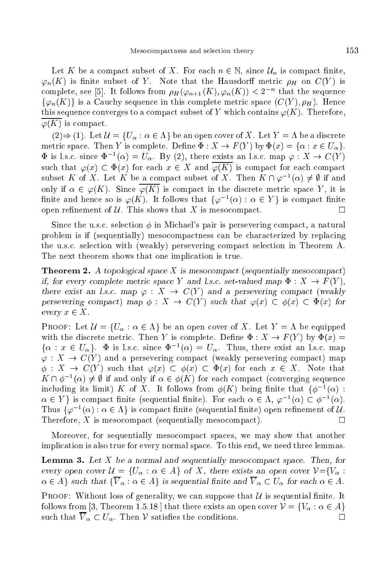Let K be a compact subset of X. For each  $n \in \mathbb{N}$ , since  $\mathcal{U}_n$  is compact finite,  $\varphi_n(K)$  is finite subset of Y. Note that the Hausdorff metric  $\rho_H$  on  $C(Y)$  is complete, see [5]. It follows from  $\rho_H(\varphi_{n+1}(K), \varphi_n(K)) < 2^{-n}$  that the sequence  $\{\varphi_n(K)\}\$ is a Cauchy sequence in this complete metric space  $(C(Y), \rho_H)$ . Hence this sequence converges to a compact subset of Y which contains  $\varphi(K)$ . Therefore,  $\varphi(K)$  is compact.

 $(2) \Rightarrow (1)$ . Let  $\mathcal{U} = \{U_{\alpha} : \alpha \in \Lambda\}$  be an open cover of X. Let  $Y = \Lambda$  be a discrete metric space. Then Y is complete. Define  $\Phi: X \to F(Y)$  by  $\Phi(x) = {\alpha : x \in U_{\alpha}}$ .  $\Phi$  is l.s.c. since  $\Phi^{-1}(\alpha) = U_{\alpha}$ . By (2), there exists an l.s.c. map  $\varphi: X \to C(Y)$ such that  $\varphi(x) \subset \Phi(x)$  for each  $x \in X$  and  $\overline{\varphi(K)}$  is compact for each compact subset K of X. Let K be a compact subset of X. Then  $K \cap \varphi^{-1}(\alpha) \neq \emptyset$  if and only if  $\alpha \in \varphi(K)$ . Since  $\overline{\varphi(K)}$  is compact in the discrete metric space Y, it is finite and hence so is  $\varphi(K)$ . It follows that  $\{\varphi^{-1}(\alpha) : \alpha \in Y\}$  is compact finite open refinement of  $U$ . This shows that X is mesocompact.  $\Box$ 

Since the u.s.c. selection  $\phi$  in Michael's pair is persevering compact, a natural problem is if (sequentially) mesocompactness can be characterized by replacing the u.s.c. selection with (weakly) persevering compact selection in Theorem A. The next theorem shows that one implication is true.

**Theorem 2.** A topological space X is mesocompact (sequentially mesocompact) if, for every complete metric space Y and l.s.c. set-valued map  $\Phi: X \to F(Y)$ , there exist an l.s.c. map  $\varphi : X \to C(Y)$  and a persevering compact (weakly persevering compact) map  $\phi: X \to C(Y)$  such that  $\varphi(x) \subset \phi(x) \subset \Phi(x)$  for every  $x \in X$ .

**PROOF:** Let  $\mathcal{U} = \{U_{\alpha} : \alpha \in \Lambda\}$  be an open cover of X. Let  $Y = \Lambda$  be equipped with the discrete metric. Then Y is complete. Define  $\Phi: X \to F(Y)$  by  $\Phi(x) =$  $\{\alpha : x \in U_\alpha\}$ .  $\Phi$  is l.s.c. since  $\Phi^{-1}(\alpha) = U_\alpha$ . Thus, there exist an l.s.c. map  $\varphi: X \to C(Y)$  and a persevering compact (weakly persevering compact) map  $\phi: X \to C(Y)$  such that  $\varphi(x) \subset \phi(x) \subset \Phi(x)$  for each  $x \in X$ . Note that  $K \cap \phi^{-1}(\alpha) \neq \emptyset$  if and only if  $\alpha \in \phi(K)$  for each compact (converging sequence including its limit) K of X. It follows from  $\phi(K)$  being finite that  $\phi^{-1}(\alpha)$ :  $\alpha \in Y$  is compact finite (sequential finite). For each  $\alpha \in \Lambda$ ,  $\varphi^{-1}(\alpha) \subset \varphi^{-1}(\alpha)$ . Thus  $\{\varphi^{-1}(\alpha) : \alpha \in \Lambda\}$  is compact finite (sequential finite) open refinement of U. Therefore,  $X$  is mesocompact (sequentially mesocompact).  $\Box$ 

Moreover, for sequentially mesocompact spaces, we may show that another implication is also true for every normal space. To this end, we need three lemmas.

**Lemma 3.** Let  $X$  be a normal and sequentially mesocompact space. Then, for every open cover  $\mathcal{U} = \{U_{\alpha} : \alpha \in A\}$  of X, there exists an open cover  $\mathcal{V} = \{V_{\alpha} : \alpha \in A\}$  $\alpha \in A$  such that  $\{\overline{V}_{\alpha} : \alpha \in A\}$  is sequential finite and  $\overline{V}_{\alpha} \subset U_{\alpha}$  for each  $\alpha \in A$ .

**PROOF:** Without loss of generality, we can suppose that  $\mathcal U$  is sequential finite. It follows from [3, Theorem 1.5.18] that there exists an open cover  $V = \{V_{\alpha} : \alpha \in A\}$ such that  $\overline{V}_{\alpha} \subset U_{\alpha}$ . Then V satisfies the conditions.  $\Box$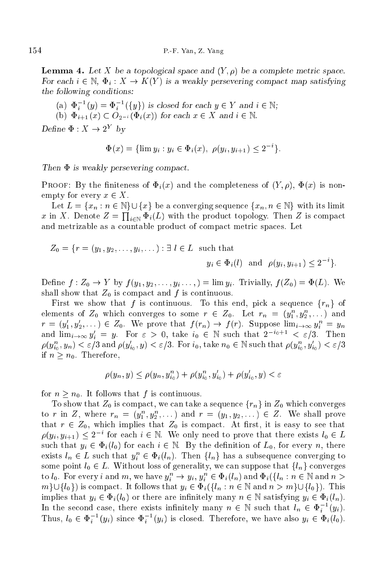**Lemma 4.** Let X be a topological space and  $(Y, \rho)$  be a complete metric space. For each  $i \in \mathbb{N}$ ,  $\Phi_i : X \to K(Y)$  is a weakly persevering compact map satisfying the following conditions:

- (a)  $\Phi_i^{-1}(y) = \Phi_i^{-1}(\{y\})$  is closed for each  $y \in Y$  and  $i \in \mathbb{N}$ ;
- (b)  $\Phi_{i+1}(x) \subset O_{2^{-i}}(\Phi_i(x))$  for each  $x \in X$  and  $i \in \mathbb{N}$ .

Define  $\Phi: X \to 2^Y$  by

$$
\Phi(x) = \{ \lim y_i : y_i \in \Phi_i(x), \ \rho(y_i, y_{i+1}) \le 2^{-i} \}.
$$

Then  $\Phi$  is weakly persevering compact.

PROOF: By the finiteness of  $\Phi_i(x)$  and the completeness of  $(Y, \rho)$ ,  $\Phi(x)$  is nonempty for every  $x \in X$ .

Let  $L = \{x_n : n \in \mathbb{N}\} \cup \{x\}$  be a converging sequence  $\{x_n, n \in \mathbb{N}\}\$  with its limit x in X. Denote  $Z = \prod_{i\in\mathbb{N}} \Phi_i(L)$  with the product topology. Then Z is compact and metrizable as a ountable produ
t of ompa
t metri spa
es. Let

$$
Z_0 = \{r = (y_1, y_2, \dots, y_i, \dots) : \exists l \in L \text{ such that}
$$

$$
y_i \in \Phi_i(l) \text{ and } \rho(y_i, y_{i+1}) \le 2^{-i}
$$

g:

Define  $f: Z_0 \to Y$  by  $f(y_1, y_2, \ldots, y_i, \ldots) = \lim y_i$ . Trivially,  $f(Z_0) = \Phi(L)$ . We shall show that  $Z_0$  is compact and  $f$  is continuous.

First we show that f is continuous. To this end, pick a sequence  $\{r_n\}$  of elements of  $Z_0$  which converges to some  $r \in Z_0$ . Let  $r_n = (y_1^n, y_2^n, \dots)$  and  $r = (y'_1, y'_2, \dots) \in Z_0$ . We prove that  $f(r_n) \to f(r)$ . Suppose  $\lim_{i \to \infty} y_i^n = y_n$ and  $\lim_{i\to\infty}y'_i = y$ . For  $\varepsilon > 0$ , take  $i_0 \in \mathbb{N}$  such that  $2^{-i_0+1} < \varepsilon/3$ . Then  $\rho(y_{i_0}^n,y_n)<\varepsilon/3$  and  $\rho(y_{i_0}',y)<\varepsilon/3$ . For  $i_0,$  take  $n_0\in\mathbb N$  such that  $\rho(y_{i_0}^n,y_{i_0}')<\varepsilon/3$ if  $n > n_0$ . Therefore,

$$
\rho(y_n, y) \le \rho(y_n, y_{i_0}^n) + \rho(y_{i_0}^n, y_{i_0}') + \rho(y_{i_0}', y) < \varepsilon
$$

for  $n > n_0$ . It follows that f is continuous.

To show that  $Z_0$  is compact, we can take a sequence  $\{r_n\}$  in  $Z_0$  which converges to r in Z, where  $r_n = (y_1^n, y_2^n, \dots)$  and  $r = (y_1, y_2, \dots) \in Z$ . We shall prove that  $r \in Z_0$ , which implies that  $Z_0$  is compact. At first, it is easy to see that  $\rho(y_i, y_{i+1}) \leq 2^{-i}$  for each  $i \in \mathbb{N}$ . We only need to prove that there exists  $l_0 \in L$ such that  $y_i \in \Phi_i(l_0)$  for each  $i \in \mathbb{N}$ . By the definition of  $L_0$ , for every n, there exists  $l_n \in L$  such that  $y_i^n \in \Phi_i(l_n)$ . Then  $\{l_n\}$  has a subsequence converging to some point  $l_0 \in L$ . Without loss of generality, we can suppose that  $\{l_n\}$  converges to  $l_0$ . For every i and m, we have  $y_i^n \to y_i, y_i^n \in \Phi_i(l_n)$  and  $\Phi_i(\{l_n : n \in \mathbb{N} \text{ and } n >$  $m\cup\{l_0\}$  is compact. It follows that  $y_i \in \Phi_i(\{l_n : n \in \mathbb{N} \text{ and } n > m\} \cup \{l_0\})$ . This implies that  $y_i \in \Phi_i(l_0)$  or there are infinitely many  $n \in \mathbb{N}$  satisfying  $y_i \in \Phi_i(l_n)$ . In the second case, there exists infinitely many  $n \in \mathbb{N}$  such that  $l_n \in \Phi_i^{-1}(y_i)$ . Thus,  $l_0 \in \Phi_i^{-1}(y_i)$  since  $\Phi_i^{-1}(y_i)$  is closed. Therefore, we have also  $y_i \in \Phi_i(l_0)$ .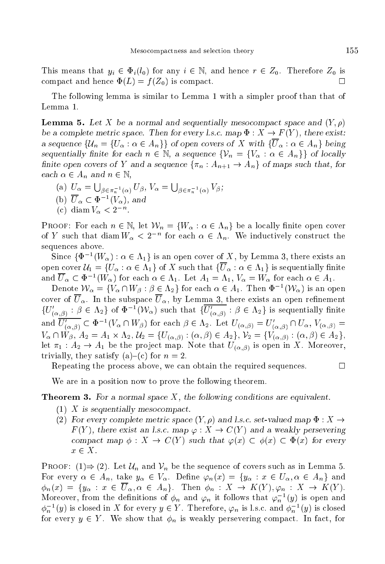This means that  $y_i \in \Phi_i(l_0)$  for any  $i \in \mathbb{N}$ , and hence  $r \in Z_0$ . Therefore  $Z_0$  is compact and hence  $\Phi(L) = f(Z_0)$  is compact. П

The following lemma is similar to Lemma 1 with a simpler proof than that of Lemma 1.

**Lemma 5.** Let X be a normal and sequentially mesocompact space and  $(Y, \rho)$ be a complete metric space. Then for every l.s.c. map  $\Phi: X \to F(Y)$ , there exist: a sequence  $\{\mathcal{U}_n = \{U_\alpha : \alpha \in A_n\}\}\$  of open covers of X with  $\{\overline{U}_\alpha : \alpha \in A_n\}\$  being sequentially finite for each  $n \in \mathbb{N}$ , a sequence  $\{V_n = \{V_\alpha : \alpha \in A_n\}\}\$  of locally finite open covers of Y and a sequence  $\{\pi_n : A_{n+1} \to A_n\}$  of maps such that, for each  $\alpha \in A_n$  and  $n \in \mathbb{N}$ ,

- (a)  $U_{\alpha} = \bigcup_{\beta \in \pi_n^{-1}(\alpha)} U_{\beta}, V_{\alpha} = \bigcup_{\beta \in \pi_n^{-1}(\alpha)} V_{\beta};$ (b)  $\overline{U}_{\alpha} \subset \Phi^{-1}(V_{\alpha})$ , and
- 
- (c) diam  $V_{\alpha} < 2^{-n}$ .

**PROOF:** For each  $n \in \mathbb{N}$ , let  $\mathcal{W}_n = \{W_\alpha : \alpha \in \Lambda_n\}$  be a locally finite open cover of Y such that diam  $W_{\alpha} < 2^{-n}$  for each  $\alpha \in \Lambda_n$ . We inductively construct the sequences above.

Since  $\{\Phi^{-1}(W_\alpha): \alpha \in \Lambda_1\}$  is an open cover of X, by Lemma 3, there exists an open cover  $\mathcal{U}_1 = \{U_\alpha : \alpha \in \Lambda_1\}$  of X such that  $\{\overline{U}_\alpha : \alpha \in \Lambda_1\}$  is sequentially finite and  $\overline{U}_{\alpha} \subset \Phi^{-1}(W_{\alpha})$  for each  $\alpha \in \Lambda_1$ . Let  $A_1 = \Lambda_1$ ,  $V_{\alpha} = W_{\alpha}$  for each  $\alpha \in A_1$ .

Denote  $\mathcal{W}_{\alpha} = \{V_{\alpha} \cap W_{\beta} : \beta \in \Lambda_2\}$  for each  $\alpha \in A_1$ . Then  $\Phi^{-1}(\mathcal{W}_{\alpha})$  is an open cover of  $\overline{U}_{\alpha}$ . In the subspace  $\overline{U}_{\alpha}$ , by Lemma 3, there exists an open refinement  $\{U'_{(\alpha,\beta)} : \beta \in \Lambda_2\}$  of  $\Phi^{-1}(\mathcal{W}_\alpha)$  such that  $\{\overline{U'_{(\alpha,\beta)}} : \beta \in \Lambda_2\}$  is sequentially finite<br>and  $\overline{U'_{(\alpha,\beta)}} \subset \Phi^{-1}(V_\alpha \cap W_\beta)$  for each  $\beta \in \Lambda_2$ . Let  $U_{(\alpha,\beta)} = U'_{(\alpha,\beta)} \cap U_\alpha$ ,  $V_{(\alpha,\beta)} =$  $V_{\alpha} \cap W_{\beta}, A_2 = A_1 \times \Lambda_2, U_2 = \{U_{(\alpha,\beta)} : (\alpha,\beta) \in A_2\}, V_2 = \{V_{(\alpha,\beta)} : (\alpha,\beta) \in A_2\},$ let  $\pi_1 : A_2 \to A_1$  be the project map. Note that  $U_{(\alpha,\beta)}$  is open in X. Moreover, trivially, they satisfy (a)–(c) for  $n = 2$ .

Repeating the process above, we can obtain the required sequences.

 $\Box$ 

We are in a position now to prove the following theorem.

## **Theorem 3.** For a normal space  $X$ , the following conditions are equivalent.

- $(1)$  X is sequentially mesocompact.
- (2) For every complete metric space  $(Y, \rho)$  and l.s.c. set-valued map  $\Phi : X \to$  $F(Y)$ , there exist an l.s.c. map  $\varphi: X \to C(Y)$  and a weakly persevering compact map  $\phi: X \to C(Y)$  such that  $\varphi(x) \subset \phi(x) \subset \Phi(x)$  for every  $x \in X$ .

PROOF:  $(1) \Rightarrow (2)$ . Let  $\mathcal{U}_n$  and  $\mathcal{V}_n$  be the sequence of covers such as in Lemma 5. For every  $\alpha \in A_n$ , take  $y_\alpha \in V_\alpha$ . Define  $\varphi_n(x) = \{y_\alpha : x \in U_\alpha, \alpha \in A_n\}$  and  $\phi_n(x) = \{y_\alpha : x \in \overline{U}_\alpha, \alpha \in A_n\}.$  Then  $\phi_n : X \to K(Y), \varphi_n : X \to K(Y).$ Moreover, from the definitions of  $\phi_n$  and  $\varphi_n$  it follows that  $\varphi_n^{-1}(y)$  is open and  $\phi_n^{-1}(y)$  is closed in X for every  $y \in Y$ . Therefore,  $\varphi_n$  is l.s.c. and  $\phi_n^{-1}(y)$  is closed for every  $y \in Y$ . We show that  $\phi_n$  is weakly persevering compact. In fact, for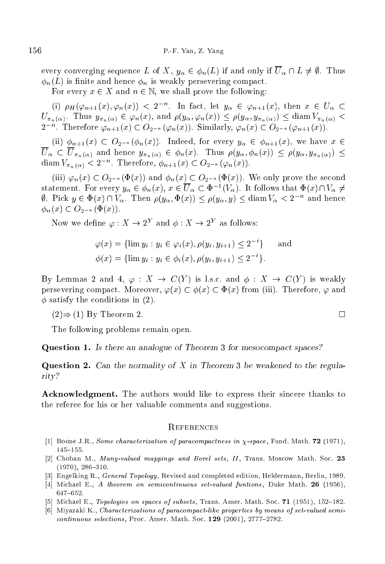every converging sequence L of X,  $y_{\alpha} \in \phi_n(L)$  if and only if  $\overline{U}_{\alpha} \cap L \neq \emptyset$ . Thus  $\phi_n(L)$  is finite and hence  $\phi_n$  is weakly persevering compact.

For every  $x \in X$  and  $n \in \mathbb{N}$ , we shall prove the following:

(i)  $\rho_H(\varphi_{n+1}(x), \varphi_n(x)) < 2^{-n}$ . In fact, let  $y_\alpha \in \varphi_{n+1}(x)$ , then  $x \in U_\alpha$  $U_{\pi_n(\alpha)}$ . Thus  $y_{\pi_n(\alpha)} \in \varphi_n(x)$ , and  $\rho(y_\alpha, \varphi_n(x)) \leq \rho(y_\alpha, y_{\pi_n(\alpha)}) \leq \text{diam } V_{\pi_n(\alpha)}$  $2^{-n}$ . Therefore  $\varphi_{n+1}(x) \subset O_{2^{-n}}(\varphi_n(x))$ . Similarly,  $\varphi_n(x) \subset O_{2^{-n}}(\varphi_{n+1}(x))$ .

(ii)  $\phi_{n+1}(x) \subset O_{2^{-n}}(\phi_n(x))$ . Indeed, for every  $y_\alpha \in \phi_{n+1}(x)$ , we have  $x \in$  $\overline{U}_{\alpha} \subset \overline{U}_{\pi_n(\alpha)}$  and hence  $y_{\pi_n(\alpha)} \in \phi_n(x)$ . Thus  $\rho(y_\alpha, \phi_n(x)) \leq \rho(y_\alpha, y_{\pi_n(\alpha)}) \leq$ diam  $V_{\pi_n(\alpha)} < 2^{-n}$ . Therefore,  $\phi_{n+1}(x) \subset O_{2^{-n}}(\varphi_n(x))$ .

(iii)  $\varphi_n(x) \subset O_{2^{-n}}(\Phi(x))$  and  $\phi_n(x) \subset O_{2^{-n}}(\Phi(x))$ . We only prove the second statement. For every  $y_\alpha \in \phi_n(x), x \in U_\alpha \subset \Phi^{-1}(V_\alpha)$ . It follows that  $\Phi(x) \cap V_\alpha \neq$  $\emptyset$ . Pick  $y \in \Phi(x) \cap V_\alpha$ . Then  $\rho(y_\alpha, \Phi(x)) \leq \rho(y_\alpha, y) \leq \text{diam } V_\alpha < 2^{-n}$  and hence  $\phi_n(x) \subset O_{2^{-n}}(\Phi(x)).$ 

Now we define  $\varphi: X \to 2^Y$  and  $\phi: X \to 2^Y$  as follows:

$$
\varphi(x) = \{ \lim y_i : y_i \in \varphi_i(x), \rho(y_i, y_{i+1}) \le 2^{-i} \} \quad \text{and}
$$
  

$$
\phi(x) = \{ \lim y_i : y_i \in \phi_i(x), \rho(y_i, y_{i+1}) \le 2^{-i} \}.
$$

By Lemmas 2 and 4,  $\varphi : X \to C(Y)$  is l.s.c. and  $\phi : X \to C(Y)$  is weakly persevering compact. Moreover,  $\varphi(x) \subset \phi(x) \subset \Phi(x)$  from (iii). Therefore,  $\varphi$  and  $\phi$  satisfy the conditions in (2).

 $(2) \Rightarrow (1)$  By Theorem 2.

The following problems remain open.

Question 1. Is there an analogue of Theorem 3 for mesocompact spaces?

Question 2. Can the normality of X in Theorem 3 be weakened to the regularity?

Acknowledgment. The authors would like to express their sincere thanks to the referee for his or her valuable omments and suggestions.

- [1] Boone J.R., Some characterization of paracompactness in  $\chi$ -space, Fund. Math. 72 (1971),  $145{-}155.$
- [2] Choban M., Many-valued mappings and Borel sets, II, Trans. Moscow Math. Soc. 23  $(1970), 286{-}310.$
- [3] Engelking R., *General Topology*, Revised and completed edition, Heldermann, Berlin, 1989.
- [4] Michael E., A theorem on semicontinuous set-valued funtions, Duke Math. 26 (1956),  $647{-}652.$
- [5] Michael E., Topologies on spaces of subsets, Trans. Amer. Math. Soc. 71 (1951), 152-182.
- [6] Miyazaki K., Characterizations of paracompact-like properties by means of set-valued semicontinuous selections, Proc. Amer. Math. Soc. 129 (2001), 2777-2782.